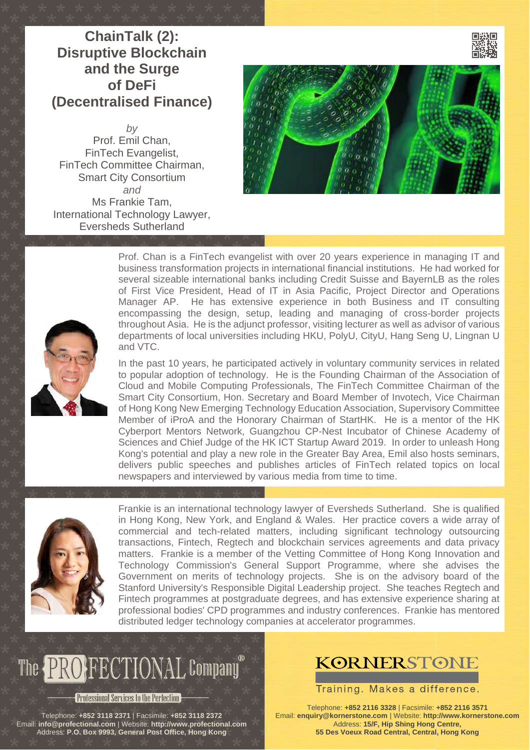#### **[ChainTalk \(2\):](http://cpd.hk/evt000000326/) [Disruptive Blockchain](http://cpd.hk/evt000000326/) [and the Surge](http://cpd.hk/evt000000326/) [of DeFi](http://cpd.hk/evt000000326/) [\(Decentralised Finance\)](http://cpd.hk/evt000000326/)**

*by* [Prof. Emil Chan,](http://www.profectional.com/presenters/idl000015031/) FinTech Evangelist, FinTech Committee Chairman, Smart City Consortium *and* [Ms Frankie Tam,](http://www.profectional.com/presenters/idl000014599/) International Technology Lawyer, Eversheds Sutherland





Prof. Chan is a FinTech evangelist with over 20 years experience in managing IT and business transformation projects in international financial institutions. He had worked for several sizeable international banks including Credit Suisse and BayernLB as the roles of First Vice President, Head of IT in Asia Pacific, Project Director and Operations Manager AP. He has extensive experience in both Business and IT consulting encompassing the design, setup, leading and managing of cross-border projects throughout Asia. He is the adjunct professor, visiting lecturer as well as advisor of various departments of local universities including HKU, PolyU, CityU, Hang Seng U, Lingnan U and VTC.

In the past 10 years, he participated actively in voluntary community services in related to popular adoption of technology. He is the Founding Chairman of the Association of Cloud and Mobile Computing Professionals, The FinTech Committee Chairman of the Smart City Consortium, Hon. Secretary and Board Member of Invotech, Vice Chairman of Hong Kong New Emerging Technology Education Association, Supervisory Committee Member of iProA and the Honorary Chairman of StartHK. He is a mentor of the HK Cyberport Mentors Network, Guangzhou CP-Nest Incubator of Chinese Academy of Sciences and Chief Judge of the HK ICT Startup Award 2019. In order to unleash Hong Kong's potential and play a new role in the Greater Bay Area, Emil also hosts seminars, delivers public speeches and publishes articles of FinTech related topics on local newspapers and interviewed by various media from time to time.



Frankie is an international technology lawyer of Eversheds Sutherland. She is qualified in Hong Kong, New York, and England & Wales. Her practice covers a wide array of commercial and tech-related matters, including significant technology outsourcing transactions, Fintech, Regtech and blockchain services agreements and data privacy matters. Frankie is a member of the Vetting Committee of Hong Kong Innovation and Technology Commission's General Support Programme, where she advises the Government on merits of technology projects. She is on the advisory board of the Stanford University's Responsible Digital Leadership project. She teaches Regtech and Fintech programmes at postgraduate degrees, and has extensive experience sharing at professional bodies' CPD programmes and industry conferences. Frankie has mentored distributed ledger technology companies at accelerator programmes.

# The **PROPECTIONAL** Company

#### **Professional Services to the Perfection**

Telephone: **+852 3118 2371** | Facsimile: **+852 3118 2372** Email: **[info@profectional.com](mailto:info@profectional.com)** | Website: **[http://www.profectional.com](http://www.profectional.com/)** Address: **P.O. Box 9993, General Post Office, Hong Kong**

### **KORNERSTONE**

Training. Makes a difference.

Telephone: **+852 2116 3328** | Facsimile: **+852 2116 3571** Email: **[enquiry@kornerstone.com](mailto:enquiry@kornerstone.com)** | Website: **[http://www.kornerstone.com](http://www.kornerstone.com/)** Address: **15/F, Hip Shing Hong Centre, 55 Des Voeux Road Central, Central, Hong Kong**